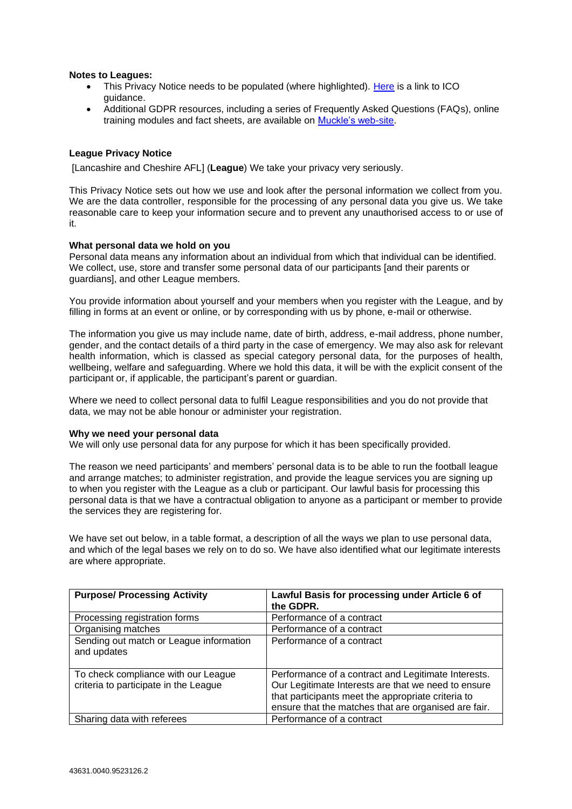# **Notes to Leagues:**

- This Privacy Notice needs to be populated (where highlighted). [Here](https://ico.org.uk/for-organisations/guide-to-the-general-data-protection-regulation-gdpr/individual-rights/right-to-be-informed/) is a link to ICO guidance.
- Additional GDPR resources, including a series of Frequently Asked Questions (FAQs), online training modules and fact sheets, are available on [Muckle's web-site.](https://www.muckle-llp.com/what-we-do/sports/the-football-association/gdpr-factsheets/)

# **League Privacy Notice**

[Lancashire and Cheshire AFL] (**League**) We take your privacy very seriously.

This Privacy Notice sets out how we use and look after the personal information we collect from you. We are the data controller, responsible for the processing of any personal data you give us. We take reasonable care to keep your information secure and to prevent any unauthorised access to or use of it.

### **What personal data we hold on you**

Personal data means any information about an individual from which that individual can be identified. We collect, use, store and transfer some personal data of our participants [and their parents or guardians], and other League members.

You provide information about yourself and your members when you register with the League, and by filling in forms at an event or online, or by corresponding with us by phone, e-mail or otherwise.

The information you give us may include name, date of birth, address, e-mail address, phone number, gender, and the contact details of a third party in the case of emergency. We may also ask for relevant health information, which is classed as special category personal data, for the purposes of health, wellbeing, welfare and safeguarding. Where we hold this data, it will be with the explicit consent of the participant or, if applicable, the participant's parent or guardian.

Where we need to collect personal data to fulfil League responsibilities and you do not provide that data, we may not be able honour or administer your registration.

#### **Why we need your personal data**

We will only use personal data for any purpose for which it has been specifically provided.

The reason we need participants' and members' personal data is to be able to run the football league and arrange matches; to administer registration, and provide the league services you are signing up to when you register with the League as a club or participant. Our lawful basis for processing this personal data is that we have a contractual obligation to anyone as a participant or member to provide the services they are registering for.

We have set out below, in a table format, a description of all the ways we plan to use personal data, and which of the legal bases we rely on to do so. We have also identified what our legitimate interests are where appropriate.

| <b>Purpose/ Processing Activity</b>                                          | Lawful Basis for processing under Article 6 of<br>the GDPR.                                                                                                                                                              |
|------------------------------------------------------------------------------|--------------------------------------------------------------------------------------------------------------------------------------------------------------------------------------------------------------------------|
| Processing registration forms                                                | Performance of a contract                                                                                                                                                                                                |
| Organising matches                                                           | Performance of a contract                                                                                                                                                                                                |
| Sending out match or League information<br>and updates                       | Performance of a contract                                                                                                                                                                                                |
| To check compliance with our League<br>criteria to participate in the League | Performance of a contract and Legitimate Interests.<br>Our Legitimate Interests are that we need to ensure<br>that participants meet the appropriate criteria to<br>ensure that the matches that are organised are fair. |
| Sharing data with referees                                                   | Performance of a contract                                                                                                                                                                                                |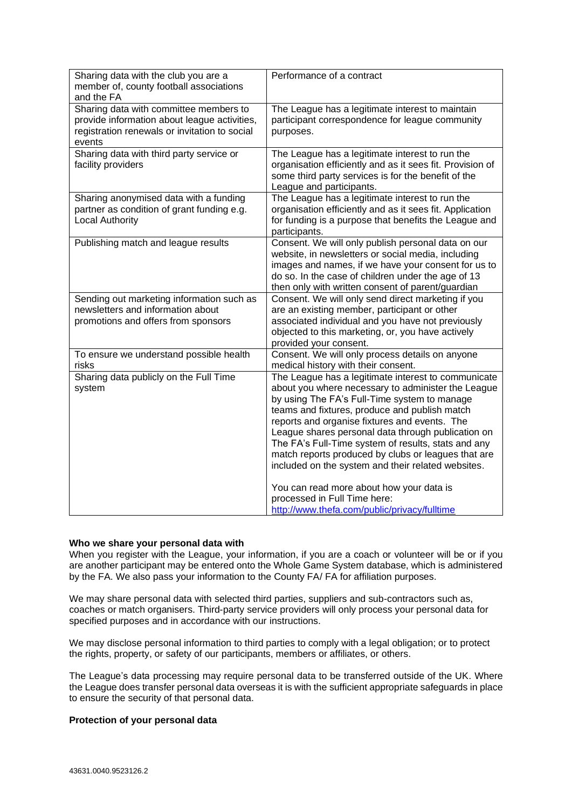| Sharing data with the club you are a<br>member of, county football associations<br>and the FA                                                     | Performance of a contract                                                                                                                                                                                                                                                                                                                                                                                                                                                             |
|---------------------------------------------------------------------------------------------------------------------------------------------------|---------------------------------------------------------------------------------------------------------------------------------------------------------------------------------------------------------------------------------------------------------------------------------------------------------------------------------------------------------------------------------------------------------------------------------------------------------------------------------------|
| Sharing data with committee members to<br>provide information about league activities,<br>registration renewals or invitation to social<br>events | The League has a legitimate interest to maintain<br>participant correspondence for league community<br>purposes.                                                                                                                                                                                                                                                                                                                                                                      |
| Sharing data with third party service or<br>facility providers                                                                                    | The League has a legitimate interest to run the<br>organisation efficiently and as it sees fit. Provision of<br>some third party services is for the benefit of the<br>League and participants.                                                                                                                                                                                                                                                                                       |
| Sharing anonymised data with a funding<br>partner as condition of grant funding e.g.<br><b>Local Authority</b>                                    | The League has a legitimate interest to run the<br>organisation efficiently and as it sees fit. Application<br>for funding is a purpose that benefits the League and<br>participants.                                                                                                                                                                                                                                                                                                 |
| Publishing match and league results                                                                                                               | Consent. We will only publish personal data on our<br>website, in newsletters or social media, including<br>images and names, if we have your consent for us to<br>do so. In the case of children under the age of 13<br>then only with written consent of parent/guardian                                                                                                                                                                                                            |
| Sending out marketing information such as<br>newsletters and information about<br>promotions and offers from sponsors                             | Consent. We will only send direct marketing if you<br>are an existing member, participant or other<br>associated individual and you have not previously<br>objected to this marketing, or, you have actively<br>provided your consent.                                                                                                                                                                                                                                                |
| To ensure we understand possible health<br>risks                                                                                                  | Consent. We will only process details on anyone<br>medical history with their consent.                                                                                                                                                                                                                                                                                                                                                                                                |
| Sharing data publicly on the Full Time<br>system                                                                                                  | The League has a legitimate interest to communicate<br>about you where necessary to administer the League<br>by using The FA's Full-Time system to manage<br>teams and fixtures, produce and publish match<br>reports and organise fixtures and events. The<br>League shares personal data through publication on<br>The FA's Full-Time system of results, stats and any<br>match reports produced by clubs or leagues that are<br>included on the system and their related websites. |
|                                                                                                                                                   | You can read more about how your data is<br>processed in Full Time here:<br>http://www.thefa.com/public/privacy/fulltime                                                                                                                                                                                                                                                                                                                                                              |

# **Who we share your personal data with**

When you register with the League, your information, if you are a coach or volunteer will be or if you are another participant may be entered onto the Whole Game System database, which is administered by the FA. We also pass your information to the County FA/ FA for affiliation purposes.

We may share personal data with selected third parties, suppliers and sub-contractors such as, coaches or match organisers. Third-party service providers will only process your personal data for specified purposes and in accordance with our instructions.

We may disclose personal information to third parties to comply with a legal obligation; or to protect the rights, property, or safety of our participants, members or affiliates, or others.

The League's data processing may require personal data to be transferred outside of the UK. Where the League does transfer personal data overseas it is with the sufficient appropriate safeguards in place to ensure the security of that personal data.

### **Protection of your personal data**